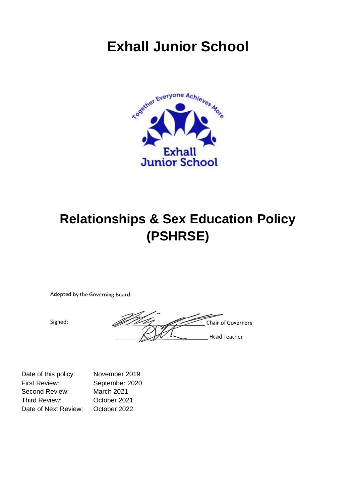# **Exhall Junior School**



# **Relationships & Sex Education Policy (PSHRSE)**

Adopted by the Governing Board:

Signed:

<u>DH</u> Chair of Governors **Head Teacher** 

| Date of this policy: | November 2019  |
|----------------------|----------------|
| <b>First Review:</b> | September 2020 |
| Second Review:       | March 2021     |
| Third Review:        | October 2021   |
| Date of Next Review: | October 2022   |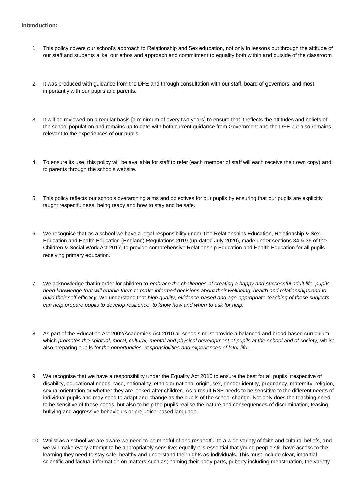### **Introduction:**

- 1. This policy covers our school's approach to Relationship and Sex education, not only in lessons but through the attitude of our staff and students alike, our ethos and approach and commitment to equality both within and outside of the classroom
- 2. It was produced with guidance from the DFE and through consultation with our staff, board of governors, and most importantly with our pupils and parents.
- 3. It will be reviewed on a regular basis [a minimum of every two years] to ensure that it reflects the attitudes and beliefs of the school population and remains up to date with both current guidance from Government and the DFE but also remains relevant to the experiences of our pupils.
- 4. To ensure its use, this policy will be available for staff to refer (each member of staff will each receive their own copy) and to parents through the schools website.
- 5. This policy reflects our schools overarching aims and objectives for our pupils by ensuring that our pupils are explicitly taught respectfulness, being ready and how to stay and be safe.
- 6. We recognise that as a school we have a legal responsibility under The Relationships Education, Relationship & Sex Education and Health Education (England) Regulations 2019 (up-dated July 2020), made under sections 34 & 35 of the Children & Social Work Act 2017, to provide comprehensive Relationship Education and Health Education for all pupils receiving primary education.
- 7. We acknowledge that in order for children to *embrace the challenges of creating a happy and successful adult life, pupils need knowledge that will enable them to make informed decisions about their wellbeing, health and relationships and to build their self-efficacy.* We understand that *high quality, evidence-based and age-appropriate teaching of these subjects can help prepare pupils to develop resilience, to know how and when to ask for help.*
- 8. As part of the Education Act 2002/Academies Act 2010 all schools must provide a balanced and broad-based curriculum which *promotes the spiritual, moral, cultural, mental and physical development of pupils at the school and of society, whilst* also preparing pupils *for the opportunities, responsibilities and experiences of later life…*
- 9. We recognise that we have a responsibility under the Equality Act 2010 to ensure the best for all pupils irrespective of disability, educational needs, race, nationality, ethnic or national origin, sex, gender identity, pregnancy, maternity, religion, sexual orientation or whether they are looked after children. As a result RSE needs to be sensitive to the different needs of individual pupils and may need to adapt and change as the pupils of the school change. Not only does the teaching need to be sensitive of these needs, but also to help the pupils realise the nature and consequences of discrimination, teasing, bullying and aggressive behaviours or prejudice-based language.
- 10. Whilst as a school we are aware we need to be mindful of and respectful to a wide variety of faith and cultural beliefs, and we will make every attempt to be appropriately sensitive; equally it is essential that young people still have access to the learning they need to stay safe, healthy and understand their rights as individuals. This must include clear, impartial scientific and factual information on matters such as; naming their body parts, puberty including menstruation, the variety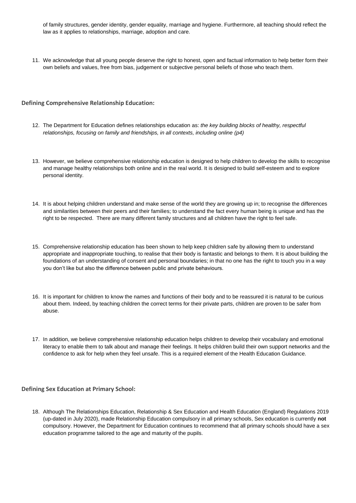of family structures, gender identity, gender equality, marriage and hygiene. Furthermore, all teaching should reflect the law as it applies to relationships, marriage, adoption and care.

11. We acknowledge that all young people deserve the right to honest, open and factual information to help better form their own beliefs and values, free from bias, judgement or subjective personal beliefs of those who teach them.

## **Defining Comprehensive Relationship Education:**

- 12. The Department for Education defines relationships education as: *the key building blocks of healthy, respectful relationships, focusing on family and friendships, in all contexts, including online (p4)*
- 13. However, we believe comprehensive relationship education is designed to help children to develop the skills to recognise and manage healthy relationships both online and in the real world. It is designed to build self-esteem and to explore personal identity.
- 14. It is about helping children understand and make sense of the world they are growing up in; to recognise the differences and similarities between their peers and their families; to understand the fact every human being is unique and has the right to be respected. There are many different family structures and all children have the right to feel safe.
- 15. Comprehensive relationship education has been shown to help keep children safe by allowing them to understand appropriate and inappropriate touching, to realise that their body is fantastic and belongs to them. It is about building the foundations of an understanding of consent and personal boundaries; in that no one has the right to touch you in a way you don't like but also the difference between public and private behaviours.
- 16. It is important for children to know the names and functions of their body and to be reassured it is natural to be curious about them. Indeed, by teaching children the correct terms for their private parts, children are proven to be safer from abuse.
- 17. In addition, we believe comprehensive relationship education helps children to develop their vocabulary and emotional literacy to enable them to talk about and manage their feelings. It helps children build their own support networks and the confidence to ask for help when they feel unsafe. This is a required element of the Health Education Guidance.

# **Defining Sex Education at Primary School:**

18. Although The Relationships Education, Relationship & Sex Education and Health Education (England) Regulations 2019 (up-dated in July 2020), made Relationship Education compulsory in all primary schools, Sex education is currently **not**  compulsory. However, the Department for Education continues to recommend that all primary schools should have a sex education programme tailored to the age and maturity of the pupils.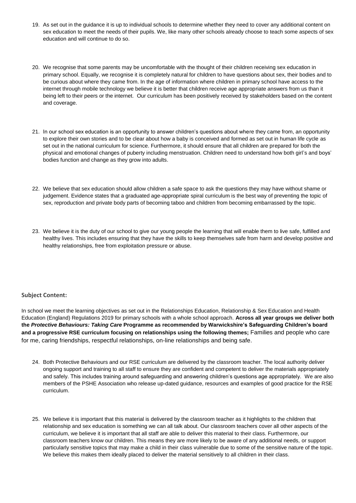- 19. As set out in the guidance it is up to individual schools to determine whether they need to cover any additional content on sex education to meet the needs of their pupils. We, like many other schools already choose to teach some aspects of sex education and will continue to do so.
- 20. We recognise that some parents may be uncomfortable with the thought of their children receiving sex education in primary school. Equally, we recognise it is completely natural for children to have questions about sex, their bodies and to be curious about where they came from. In the age of information where children in primary school have access to the internet through mobile technology we believe it is better that children receive age appropriate answers from us than it being left to their peers or the internet. Our curriculum has been positively received by stakeholders based on the content and coverage.
- 21. In our school sex education is an opportunity to answer children's questions about where they came from, an opportunity to explore their own stories and to be clear about how a baby is conceived and formed as set out in human life cycle as set out in the national curriculum for science. Furthermore, it should ensure that all children are prepared for both the physical and emotional changes of puberty including menstruation. Children need to understand how both girl's and boys' bodies function and change as they grow into adults.
- 22. We believe that sex education should allow children a safe space to ask the questions they may have without shame or judgement. Evidence states that a graduated age-appropriate spiral curriculum is the best way of preventing the topic of sex, reproduction and private body parts of becoming taboo and children from becoming embarrassed by the topic.
- 23. We believe it is the duty of our school to give our young people the learning that will enable them to live safe, fulfilled and healthy lives. This includes ensuring that they have the skills to keep themselves safe from harm and develop positive and healthy relationships, free from exploitation pressure or abuse.

## **Subject Content:**

In school we meet the learning objectives as set out in the Relationships Education, Relationship & Sex Education and Health Education (England) Regulations 2019 for primary schools with a whole school approach. **Across all year groups we deliver both the** *Protective Behaviours: Taking Care* **Programme as recommended by Warwickshire's Safeguarding Children's board and a progressive RSE curriculum focusing on relationships using the following themes;** Families and people who care for me, caring friendships, respectful relationships, on-line relationships and being safe.

- 24. Both Protective Behaviours and our RSE curriculum are delivered by the classroom teacher. The local authority deliver ongoing support and training to all staff to ensure they are confident and competent to deliver the materials appropriately and safely. This includes training around safeguarding and answering children's questions age appropriately. We are also members of the PSHE Association who release up-dated guidance, resources and examples of good practice for the RSE curriculum.
- 25. We believe it is important that this material is delivered by the classroom teacher as it highlights to the children that relationship and sex education is something we can all talk about. Our classroom teachers cover all other aspects of the curriculum, we believe it is important that all staff are able to deliver this material to their class. Furthermore, our classroom teachers know our children. This means they are more likely to be aware of any additional needs, or support particularly sensitive topics that may make a child in their class vulnerable due to some of the sensitive nature of the topic. We believe this makes them ideally placed to deliver the material sensitively to all children in their class.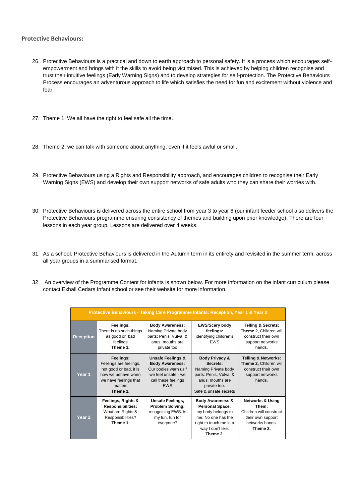## **Protective Behaviours:**

- 26. Protective Behaviours is a practical and down to earth approach to personal safety. It is a process which encourages selfempowerment and brings with it the skills to avoid being victimised. This is achieved by helping children recognise and trust their intuitive feelings (Early Warning Signs) and to develop strategies for self-protection. The Protective Behaviours Process encourages an adventurous approach to life which satisfies the need for fun and excitement without violence and fear.
- 27. Theme 1: We all have the right to feel safe all the time.
- 28. Theme 2: we can talk with someone about anything, even if it feels awful or small.
- 29. Protective Behaviours using a Rights and Responsibility approach, and encourages children to recognise their Early Warning Signs (EWS) and develop their own support networks of safe adults who they can share their worries with.
- 30. Protective Behaviours is delivered across the entire school from year 3 to year 6 (our infant feeder school also delivers the Protective Behaviours programme ensuring consistency of themes and building upon prior knowledge). There are four lessons in each year group. Lessons are delivered over 4 weeks.
- 31. As a school, Protective Behaviours is delivered in the Autumn term in its entirety and revisited in the summer term, across all year groups in a summarised format.
- 32. An overview of the Programme Content for infants is shown below. For more information on the infant curriculum please contact Exhall Cedars Infant school or see their website for more information.

| Protective Behaviours - Taking Care Programme Infants: Reception, Year 1 & Year 2 |                                                                                                                                     |                                                                                                                                            |                                                                                                                                                              |                                                                                                                     |  |
|-----------------------------------------------------------------------------------|-------------------------------------------------------------------------------------------------------------------------------------|--------------------------------------------------------------------------------------------------------------------------------------------|--------------------------------------------------------------------------------------------------------------------------------------------------------------|---------------------------------------------------------------------------------------------------------------------|--|
| <b>Reception</b>                                                                  | Feelings:<br>There is no such things<br>as good or bad<br>feelings<br>Theme 1,                                                      | <b>Body Awareness:</b><br>Naming Private body<br>parts: Penis, Vulva, &<br>anus, mouths are<br>private too                                 | <b>EWS/Scary body</b><br>feelings:<br>identifying children's<br><b>FWS</b>                                                                                   | <b>Telling &amp; Secrets:</b><br>Theme 2, Children will<br>construct their own<br>support networks<br>hands.        |  |
| Year 1                                                                            | Feelings:<br>Feelings are feelings,<br>not good or bad, it is<br>how we behave when<br>we have feelings that<br>matters<br>Theme 1. | <b>Unsafe Feelings &amp;</b><br><b>Body Awareness:</b><br>Our bodies warn us f<br>we feel unsafe - we<br>call these feelings<br><b>EWS</b> | <b>Body Privacy &amp;</b><br>Secrets:<br>Naming Private body<br>parts: Penis, Vulva, &<br>anus, mouths are<br>private too.<br>Safe & unsafe secrets          | <b>Telling &amp; Networks:</b><br>Theme 2, Children will<br>construct their own<br>support networks<br>hands.       |  |
| Year 2                                                                            | Feelings, Rights &<br><b>Responsibilities:</b><br>What are Rights &<br>Responsibilities?<br>Theme 1.                                | <b>Unsafe Feelings,</b><br><b>Problem Solving:</b><br>recognising EWS. Is<br>my fun, fun for<br>everyone?                                  | <b>Body Awareness &amp;</b><br><b>Personal Space:</b><br>my body belongs to<br>me. No one has the<br>right to touch me in a<br>way I don't like.<br>Theme 2. | <b>Networks &amp; Using</b><br>Them:<br>Children will construct<br>their own support<br>networks hands.<br>Theme 2. |  |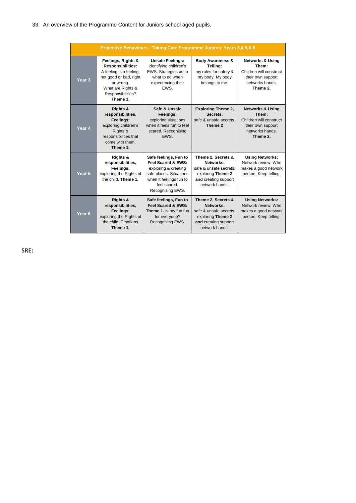# 33. An overview of the Programme Content for Juniors school aged pupils.

| Protective Behaviours - Taking Care Programme Juniors: Years 3,4,5,& 6 |                                                                                                                                                                        |                                                                                                                                                               |                                                                                                                          |                                                                                                                     |  |
|------------------------------------------------------------------------|------------------------------------------------------------------------------------------------------------------------------------------------------------------------|---------------------------------------------------------------------------------------------------------------------------------------------------------------|--------------------------------------------------------------------------------------------------------------------------|---------------------------------------------------------------------------------------------------------------------|--|
| Year <sub>3</sub>                                                      | Feelings, Rights &<br><b>Responsibilities:</b><br>A feeling is a feeling,<br>not good or bad, right<br>or wrong.<br>What are Rights &<br>Responsibilities?<br>Theme 1. | <b>Unsafe Feelings:</b><br>identifying children's<br>EWS. Strategies as to<br>what to do when<br>experiencing their<br><b>FWS</b>                             | <b>Body Awareness &amp;</b><br>Telling:<br>my rules for safety &<br>my body. My body<br>belongs to me.                   | <b>Networks &amp; Using</b><br>Them:<br>Children will construct<br>their own support<br>networks hands.<br>Theme 2. |  |
| Year 4                                                                 | <b>Rights &amp;</b><br>responsibilities,<br>Feelings:<br>exploring children's<br>Rights &<br>responsibilities that<br>come with them.<br>Theme 1.                      | Safe & Unsafe<br>Feelings:<br>exploring situations<br>when it feels fun to feel<br>scared. Recognising<br>EWS.                                                | <b>Exploring Theme 2,</b><br>Secrets:<br>safe & unsafe secrets.<br>Theme 2                                               | <b>Networks &amp; Using</b><br>Them:<br>Children will construct<br>their own support<br>networks hands.<br>Theme 2. |  |
| Year <sub>5</sub>                                                      | Rights &<br>responsibilities,<br>Feelings:<br>exploring the Rights of<br>the child. Theme 1.                                                                           | Safe feelings, Fun to<br>Feel Scared & EWS:<br>exploring & creating<br>safe places. Situations<br>when it feelings fun to<br>feel scared.<br>Recognising EWS. | Theme 2, Secrets &<br>Networks:<br>safe & unsafe secrets.<br>exploring Theme 2<br>and creating support<br>network hands. | <b>Using Networks:</b><br>Network review, Who<br>makes a good network<br>person. Keep telling.                      |  |
| Year <sub>6</sub>                                                      | <b>Rights &amp;</b><br>responsibilities,<br>Feelings:<br>exploring the Rights of<br>the child. Emotions<br>Theme 1.                                                    | Safe feelings, Fun to<br>Feel Scared & EWS:<br>Theme 1. Is my fun fun<br>for everyone?<br>Recognising EWS.                                                    | Theme 2, Secrets &<br>Networks:<br>safe & unsafe secrets.<br>exploring Theme 2<br>and creating support<br>network hands. | <b>Using Networks:</b><br>Network review, Who<br>makes a good network<br>person. Keep telling.                      |  |

**SRE:**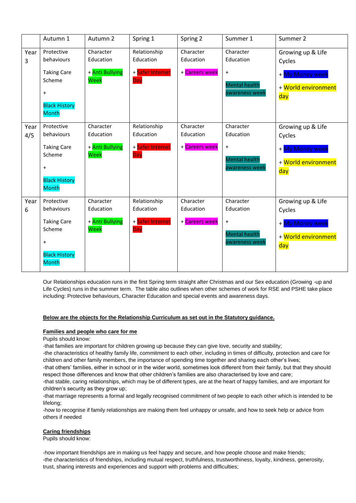|             | Autumn 1                                                                                                                             | Autumn 2                                          | Spring 1                                             | Spring 2                                 | Summer 1                                                                      | Summer 2                                                                                  |
|-------------|--------------------------------------------------------------------------------------------------------------------------------------|---------------------------------------------------|------------------------------------------------------|------------------------------------------|-------------------------------------------------------------------------------|-------------------------------------------------------------------------------------------|
| Year<br>3   | Protective<br>behaviours<br><b>Taking Care</b><br>Scheme<br>$\ddot{}$<br><b>Black History</b><br><b>Month</b>                        | Character<br>Education<br>+ Anti Bullying<br>Week | Relationship<br>Education<br>+ Safer Internet<br>Day | Character<br>Education<br>+ Careers week | Character<br>Education<br>$\ddot{}$<br><b>Mental health</b><br>awareness week | Growing up & Life<br>Cycles<br>+ <mark>My Money week</mark><br>+ World environment<br>day |
| Year<br>4/5 | Protective<br>behaviours<br><b>Taking Care</b><br>Scheme<br>$\ddot{}$<br><b>Black History</b><br><b>Month</b>                        | Character<br>Education<br>+ Anti Bullying<br>Week | Relationship<br>Education<br>+ Safer Internet<br>Day | Character<br>Education<br>+ Careers week | Character<br>Education<br>$\ddot{}$<br><b>Mental health</b><br>awareness week | Growing up & Life<br>Cycles<br>+ My Money week<br>+ World environment<br>day              |
| Year<br>6   | Protective<br>behaviours<br><b>Taking Care</b><br>Scheme<br>$\begin{array}{c} + \end{array}$<br><b>Black History</b><br><b>Month</b> | Character<br>Education<br>+ Anti Bullying<br>Week | Relationship<br>Education<br>+ Safer Internet<br>Day | Character<br>Education<br>+ Careers week | Character<br>Education<br>$\ddot{}$<br><b>Mental health</b><br>awareness week | Growing up & Life<br>Cycles<br>+ <mark>My Money week</mark><br>+ World environment<br>day |

Our Relationships education runs in the first Spring term straight after Christmas and our Sex education (Growing -up and Life Cycles) runs in the summer term. The table also outlines when other schemes of work for RSE and PSHE take place including: Protective behaviours, Character Education and special events and awareness days.

# **Below are the objects for the Relationship Curriculum as set out in the Statutory guidance.**

#### **Families and people who care for me**

Pupils should know:

-that families are important for children growing up because they can give love, security and stability;

-the characteristics of healthy family life, commitment to each other, including in times of difficulty, protection and care for children and other family members, the importance of spending time together and sharing each other's lives;

-that others' families, either in school or in the wider world, sometimes look different from their family, but that they should respect those differences and know that other children's families are also characterised by love and care;

-that stable, caring relationships, which may be of different types, are at the heart of happy families, and are important for children's security as they grow up;

-that marriage represents a formal and legally recognised commitment of two people to each other which is intended to be lifelong;

-how to recognise if family relationships are making them feel unhappy or unsafe, and how to seek help or advice from others if needed

#### **Caring friendships**

Pupils should know:

-how important friendships are in making us feel happy and secure, and how people choose and make friends; -the characteristics of friendships, including mutual respect, truthfulness, trustworthiness, loyalty, kindness, generosity, trust, sharing interests and experiences and support with problems and difficulties;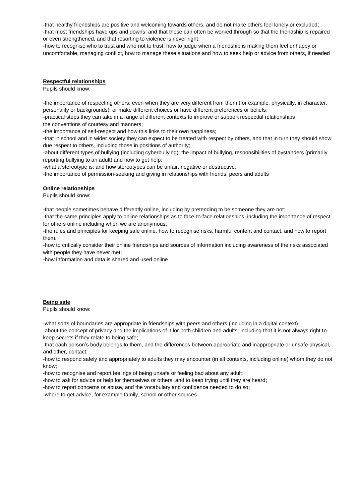-that healthy friendships are positive and welcoming towards others, and do not make others feel lonely or excluded; -that most friendships have ups and downs, and that these can often be worked through so that the friendship is repaired or even strengthened, and that resorting to violence is never right;

-how to recognise who to trust and who not to trust, how to judge when a friendship is making them feel unhappy or uncomfortable, managing conflict, how to manage these situations and how to seek help or advice from others, if needed

#### **Respectful relationships**

Pupils should know:

-the importance of respecting others, even when they are very different from them (for example, physically, in character, personality or backgrounds), or make different choices or have different preferences or beliefs;

-practical steps they can take in a range of different contexts to improve or support respectful relationships the conventions of courtesy and manners;

-the importance of self-respect and how this links to their own happiness;

-that in school and in wider society they can expect to be treated with respect by others, and that in turn they should show due respect to others, including those in positions of authority;

-about different types of bullying (including cyberbullying), the impact of bullying, responsibilities of bystanders (primarily reporting bullying to an adult) and how to get help;

-what a stereotype is, and how stereotypes can be unfair, negative or destructive;

-the importance of permission-seeking and giving in relationships with friends, peers and adults

#### **Online relationships**

Pupils should know:

-that people sometimes behave differently online, including by pretending to be someone they are not;

-that the same principles apply to online relationships as to face-to-face relationships, including the importance of respect for others online including when we are anonymous;

-the rules and principles for keeping safe online, how to recognise risks, harmful content and contact, and how to report them;

-how to critically consider their online friendships and sources of information including awareness of the risks associated with people they have never met;

-how information and data is shared and used online

#### **Being safe**

Pupils should know:

-what sorts of boundaries are appropriate in friendships with peers and others (including in a digital context);

-about the concept of privacy and the implications of it for both children and adults; including that it is not always right to keep secrets if they relate to being safe;

-that each person's body belongs to them, and the differences between appropriate and inappropriate or unsafe physical, and other, contact;

-how to respond safely and appropriately to adults they may encounter (in all contexts, including online) whom they do not know;

-how to recognise and report feelings of being unsafe or feeling bad about any adult;

-how to ask for advice or help for themselves or others, and to keep trying until they are heard;

-how to report concerns or abuse, and the vocabulary and confidence needed to do so;

-where to get advice, for example family, school or other sources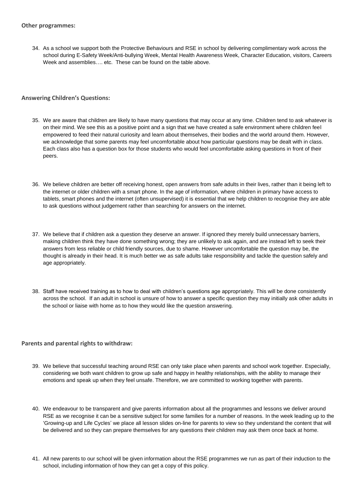34. As a school we support both the Protective Behaviours and RSE in school by delivering complimentary work across the school during E-Safety Week/Anti-bullying Week, Mental Health Awareness Week, Character Education, visitors, Careers Week and assemblies…. etc. These can be found on the table above.

# **Answering Children's Questions:**

- 35. We are aware that children are likely to have many questions that may occur at any time. Children tend to ask whatever is on their mind. We see this as a positive point and a sign that we have created a safe environment where children feel empowered to feed their natural curiosity and learn about themselves, their bodies and the world around them. However, we acknowledge that some parents may feel uncomfortable about how particular questions may be dealt with in class. Each class also has a question box for those students who would feel uncomfortable asking questions in front of their peers.
- 36. We believe children are better off receiving honest, open answers from safe adults in their lives, rather than it being left to the internet or older children with a smart phone. In the age of information, where children in primary have access to tablets, smart phones and the internet (often unsupervised) it is essential that we help children to recognise they are able to ask questions without judgement rather than searching for answers on the internet.
- 37. We believe that if children ask a question they deserve an answer. If ignored they merely build unnecessary barriers, making children think they have done something wrong; they are unlikely to ask again, and are instead left to seek their answers from less reliable or child friendly sources, due to shame. However uncomfortable the question may be, the thought is already in their head. It is much better we as safe adults take responsibility and tackle the question safely and age appropriately.
- 38. Staff have received training as to how to deal with children's questions age appropriately. This will be done consistently across the school. If an adult in school is unsure of how to answer a specific question they may initially ask other adults in the school or liaise with home as to how they would like the question answering.

## **Parents and parental rights to withdraw:**

- 39. We believe that successful teaching around RSE can only take place when parents and school work together. Especially, considering we both want children to grow up safe and happy in healthy relationships, with the ability to manage their emotions and speak up when they feel unsafe. Therefore, we are committed to working together with parents.
- 40. We endeavour to be transparent and give parents information about all the programmes and lessons we deliver around RSE as we recognise it can be a sensitive subject for some families for a number of reasons. In the week leading up to the 'Growing-up and Life Cycles' we place all lesson slides on-line for parents to view so they understand the content that will be delivered and so they can prepare themselves for any questions their children may ask them once back at home.
- 41. All new parents to our school will be given information about the RSE programmes we run as part of their induction to the school, including information of how they can get a copy of this policy.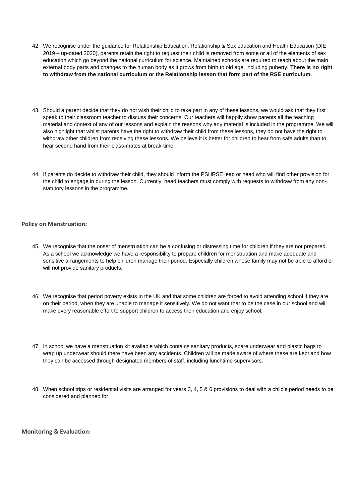- 42. We recognise under the guidance for Relationship Education, Relationship & Sex education and Health Education (DfE 2019 – up-dated 2020), parents retain the right to request their child is removed from some or all of the elements of sex education which go beyond the national curriculum for science. Maintained schools are required to teach about the main external body parts and changes to the human body as it grows from birth to old age, including puberty. **There is no right to withdraw from the national curriculum or the Relationship lesson that form part of the RSE curriculum.**
- 43. Should a parent decide that they do not wish their child to take part in any of these lessons, we would ask that they first speak to their classroom teacher to discuss their concerns. Our teachers will happily show parents all the teaching material and context of any of our lessons and explain the reasons why any material is included in the programme. We will also highlight that whilst parents have the right to withdraw their child from these lessons, they do not have the right to withdraw other children from receiving these lessons. We believe it is better for children to hear from safe adults than to hear second hand from their class-mates at break-time.
- 44. If parents do decide to withdraw their child, they should inform the PSHRSE lead or head who will find other provision for the child to engage in during the lesson. Currently, head teachers must comply with requests to withdraw from any nonstatutory lessons in the programme.

## **Policy on Menstruation:**

- 45. We recognise that the onset of menstruation can be a confusing or distressing time for children if they are not prepared. As a school we acknowledge we have a responsibility to prepare children for menstruation and make adequate and sensitive arrangements to help children manage their period. Especially children whose family may not be able to afford or will not provide sanitary products.
- 46. We recognise that period poverty exists in the UK and that some children are forced to avoid attending school if they are on their period, when they are unable to manage it sensitively. We do not want that to be the case in our school and will make every reasonable effort to support children to access their education and enjoy school.
- 47. In school we have a menstruation kit available which contains sanitary products, spare underwear and plastic bags to wrap up underwear should there have been any accidents. Children will be made aware of where these are kept and how they can be accessed through designated members of staff, including lunchtime supervisors.
- 48. When school trips or residential visits are arranged for years 3, 4, 5 & 6 provisions to deal with a child's period needs to be considered and planned for.

**Monitoring & Evaluation:**